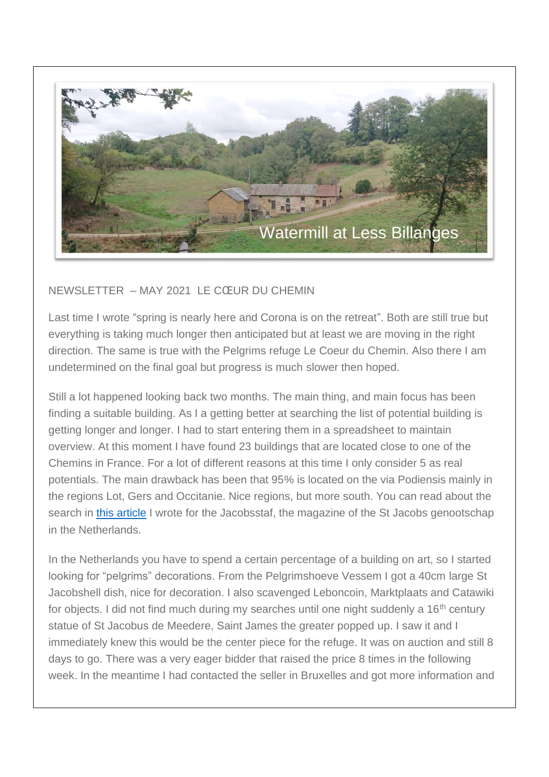

## NEWSLETTER – MAY 2021 LE CŒUR DU CHEMIN

Last time I wrote "spring is nearly here and Corona is on the retreat". Both are still true but everything is taking much longer then anticipated but at least we are moving in the right direction. The same is true with the Pelgrims refuge Le Coeur du Chemin. Also there I am undetermined on the final goal but progress is much slower then hoped.

Still a lot happened looking back two months. The main thing, and main focus has been finding a suitable building. As I a getting better at searching the list of potential building is getting longer and longer. I had to start entering them in a spreadsheet to maintain overview. At this moment I have found 23 buildings that are located close to one of the Chemins in France. For a lot of different reasons at this time I only consider 5 as real potentials. The main drawback has been that 95% is located on the via Podiensis mainly in the regions Lot, Gers and Occitanie. Nice regions, but more south. You can read about the search in [this article](http://lecoeurduchemin.org/histoire/article-jacobsstaf-2021-juin) I wrote for the Jacobsstaf, the magazine of the St Jacobs genootschap in the Netherlands.

In the Netherlands you have to spend a certain percentage of a building on art, so I started looking for "pelgrims" decorations. From the Pelgrimshoeve Vessem I got a 40cm large St Jacobshell dish, nice for decoration. I also scavenged Leboncoin, Marktplaats and Catawiki for objects. I did not find much during my searches until one night suddenly a 16<sup>th</sup> century statue of St Jacobus de Meedere, Saint James the greater popped up. I saw it and I immediately knew this would be the center piece for the refuge. It was on auction and still 8 days to go. There was a very eager bidder that raised the price 8 times in the following week. In the meantime I had contacted the seller in Bruxelles and got more information and